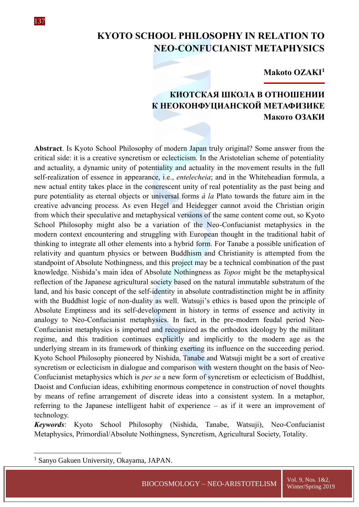

### **Makoto OZAKI<sup>1</sup>**

# **КИОТСКАЯ ШКОЛА В ОТНОШЕНИИ К НЕОКОНФУЦИАНСКОЙ МЕТАФИЗИКЕ Макото ОЗАКИ**

**Abstract**. Is Kyoto School Philosophy of modern Japan truly original? Some answer from the critical side: it is a creative syncretism or eclecticism. In the Aristotelian scheme of potentiality and actuality, a dynamic unity of potentiality and actuality in the movement results in the full self-realization of essence in appearance, i.e., *entelecheia*; and in the Whiteheadian formula, a new actual entity takes place in the concrescent unity of real potentiality as the past being and pure potentiality as eternal objects or universal forms *à la* Plato towards the future aim in the creative advancing process. As even Hegel and Heidegger cannot avoid the Christian origin from which their speculative and metaphysical versions of the same content come out, so Kyoto School Philosophy might also be a variation of the Neo-Confucianist metaphysics in the modern context encountering and struggling with European thought in the traditional habit of thinking to integrate all other elements into a hybrid form. For Tanabe a possible unification of relativity and quantum physics or between Buddhism and Christianity is attempted from the standpoint of Absolute Nothingness, and this project may be a technical combination of the past knowledge. Nishida's main idea of Absolute Nothingness as *Topos* might be the metaphysical reflection of the Japanese agricultural society based on the natural immutable substratum of the land, and his basic concept of the self-identity in absolute contradistinction might be in affinity with the Buddhist logic of non-duality as well. Watsuji's ethics is based upon the principle of Absolute Emptiness and its self-development in history in terms of essence and activity in analogy to Neo-Confucianist metaphysics. In fact, in the pre-modern feudal period Neo-Confucianist metaphysics is imported and recognized as the orthodox ideology by the militant regime, and this tradition continues explicitly and implicitly to the modern age as the underlying stream in its framework of thinking exerting its influence on the succeeding period. Kyoto School Philosophy pioneered by Nishida, Tanabe and Watsuji might be a sort of creative syncretism or eclecticism in dialogue and comparison with western thought on the basis of Neo-Confucianist metaphysics which is *per se* a new form of syncretism or eclecticism of Buddhist, Daoist and Confucian ideas, exhibiting enormous competence in construction of novel thoughts by means of refine arrangement of discrete ideas into a consistent system. In a metaphor, referring to the Japanese intelligent habit of experience – as if it were an improvement of technology.

*Keywords*: Kyoto School Philosophy (Nishida, Tanabe, Watsuji), Neo-Confucianist Metaphysics, Primordial/Absolute Nothingness, Syncretism, Agricultural Society, Totality.

1

137

<sup>&</sup>lt;sup>1</sup> Sanyo Gakuen University, Okayama, JAPAN.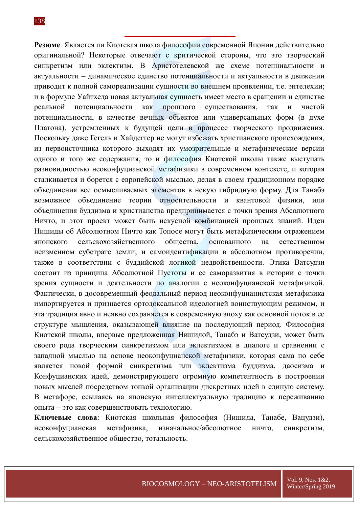**Резюме**. Является ли Киотская школа философии современной Японии действительно оригинальной? Некоторые отвечают с критической стороны, что это творческий синкретизм или эклектизм. В Аристотелевской же схеме потенциальности и актуальности – динамическое единство потенциальности и актуальности в движении приводит к полной самореализации сущности во внешнем проявлении, т.е. энтелехии; и в формуле Уайтхеда новая актуальная сущность имеет место в сращении и единстве реальной потенциальности как прошлого существования, так и чистой потенциальности, в качестве вечных объектов или универсальных форм (в духе Платона), устремленных к будущей цели в процессе творческого продвижения. Поскольку даже Гегель и Хайдеггер не могут избежать христианского происхождения, из первоисточника которого выходят их умозрительные и метафизические версии одного и того же содержания, то и философия Киотской школы также выступать разновидностью неоконфуцианской метафизики в современном контексте, и которая сталкивается и борется с европейской мыслью, делая в своем традиционном порядке объединения все осмысливаемых элементов в некую гибридную форму. Для Танабэ возможное объединение теории относительности и квантовой физики, или объединения буддизма и христианства предпринимается с точки зрения Абсолютного Ничто, и этот проект может быть искусной комбинацией прошлых знаний. Идеи Нишиды об Абсолютном Ничто как Топосе могут быть метафизическим отражением японского сельскохозяйственного общества, основанного на естественном неизменном субстрате земли, и самоидентификации в абсолютном противоречии, также в соответствии с буддийской логикой недвойственности. Этика Ватсудзи состоит из принципа Абсолютной Пустоты и ее саморазвития в истории с точки зрения сущности и деятельности по аналогии с неоконфуцианской метафизикой. Фактически, в досовременный феодальный период неоконфуцианистская метафизика импортируется и признается ортодоксальной идеологией воинствующим режимом, и эта традиция явно и неявно сохраняется в современную эпоху как основной поток в ее структуре мышления, оказывающей влияние на последующий период. Философия Киотской школы, впервые предложенная Нишидой, Танабэ и Ватсудзи, может быть своего рода творческим синкретизмом или эклектизмом в диалоге и сравнении с западной мыслью на основе неоконфуцианской метафизики, которая сама по себе является новой формой синкретизма или эклектизма буддизма, даосизма и Конфуцианских идей, демонстрирующего огромную компетентность в построении новых мыслей посредством тонкой организации дискретных идей в единую систему. В метафоре, ссылаясь на японскую интеллектуальную традицию к переживанию опыта – это как совершенствовать технологию.

**Ключевые слова**: Киотская школьная философия (Нишида, Танабе, Вацудзи), неоконфуцианская метафизика, изначальное/абсолютное ничто, синкретизм, сельскохозяйственное общество, тотальность.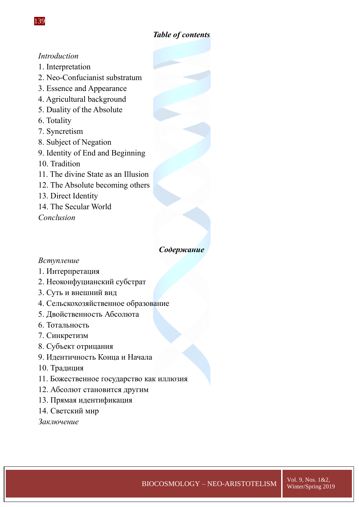# *Table of contents*

# *Introduction*

- 1. Interpretation
- 2. Neo-Confucianist substratum
- 3. Essence and Appearance
- 4. Agricultural background
- 5. Duality of the Absolute
- 6. Totality
- 7. Syncretism
- 8. Subject of Negation
- 9. Identity of End and Beginning
- 10. Tradition
- 11. The divine State as an Illusion
- 12. The Absolute becoming others
- 13. Direct Identity
- 14. The Secular World

*Conclusion*

# *Содержание*

# *Вступление*

- 1. Интерпретация
- 2. Неоконфуцианский субстрат
- 3. Суть и внешний вид
- 4. Сельскохозяйственное образование
- 5. Двойственность Абсолюта
- 6. Тотальность
- 7. Синкретизм
- 8. Субъект отрицания
- 9. Идентичность Конца и Начала
- 10. Традиция
- 11. Божественное государство как иллюзия
- 12. Абсолют становится другим
- 13. Прямая идентификация
- 14. Светский мир

*Заключение*

 $\overline{BIOCOSMOLOGY} - NEO-ARISTOTELISM$   $\overline{Vol. 9, Nos. 1&2,2.25$ Winter/Spring 2019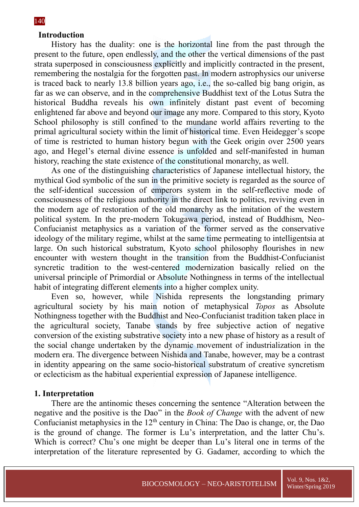### **Introduction**

History has the duality: one is the horizontal line from the past through the present to the future, open endlessly, and the other the vertical dimensions of the past strata superposed in consciousness explicitly and implicitly contracted in the present, remembering the nostalgia for the forgotten past. In modern astrophysics our universe is traced back to nearly 13.8 billion years ago, i.e., the so-called big bang origin, as far as we can observe, and in the comprehensive Buddhist text of the Lotus Sutra the historical Buddha reveals his own infinitely distant past event of becoming enlightened far above and beyond our image any more. Compared to this story, Kyoto School philosophy is still confined to the mundane world affairs reverting to the primal agricultural society within the limit of historical time. Even Heidegger's scope of time is restricted to human history begun with the Geek origin over 2500 years ago, and Hegel's eternal divine essence is unfolded and self-manifested in human history, reaching the state existence of the constitutional monarchy, as well.

As one of the distinguishing characteristics of Japanese intellectual history, the mythical God symbolic of the sun in the primitive society is regarded as the source of the self-identical succession of emperors system in the self-reflective mode of consciousness of the religious authority in the direct link to politics, reviving even in the modern age of restoration of the old monarchy as the imitation of the western political system. In the pre-modern Tokugawa period, instead of Buddhism, Neo-Confucianist metaphysics as a variation of the former served as the conservative ideology of the military regime, whilst at the same time permeating to intelligentsia at large. On such historical substratum, Kyoto school philosophy flourishes in new encounter with western thought in the transition from the Buddhist-Confucianist syncretic tradition to the west-centered modernization basically relied on the universal principle of Primordial or Absolute Nothingness in terms of the intellectual habit of integrating different elements into a higher complex unity.

Even so, however, while Nishida represents the longstanding primary agricultural society by his main notion of metaphysical *Topos* as Absolute Nothingness together with the Buddhist and Neo-Confucianist tradition taken place in the agricultural society, Tanabe stands by free subjective action of negative conversion of the existing substrative society into a new phase of history as a result of the social change undertaken by the dynamic movement of industrialization in the modern era. The divergence between Nishida and Tanabe, however, may be a contrast in identity appearing on the same socio-historical substratum of creative syncretism or eclecticism as the habitual experiential expression of Japanese intelligence.

#### **1. Interpretation**

There are the antinomic theses concerning the sentence "Alteration between the negative and the positive is the Dao" in the *Book of Change* with the advent of new Confucianist metaphysics in the 12<sup>th</sup> century in China: The Dao is change, or, the Dao is the ground of change. The former is Lu's interpretation, and the latter Chu's. Which is correct? Chu's one might be deeper than Lu's literal one in terms of the interpretation of the literature represented by G. Gadamer, according to which the

#### 140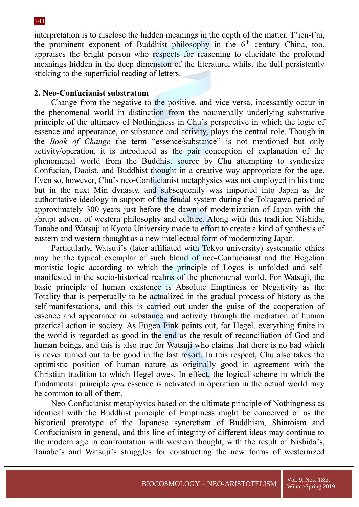interpretation is to disclose the hidden meanings in the depth of the matter. T'ien-t'ai, the prominent exponent of Buddhist philosophy in the  $6<sup>th</sup>$  century China, too, appraises the bright person who respects for reasoning to elucidate the profound meanings hidden in the deep dimension of the literature, whilst the dull persistently sticking to the superficial reading of letters.

# **2. Neo-Confucianist substratum**

Change from the negative to the positive, and vice versa, incessantly occur in the phenomenal world in distinction from the noumenally underlying substrative principle of the ultimacy of Nothingness in Chu's perspective in which the logic of essence and appearance, or substance and activity, plays the central role. Though in the *Book of Change* the term "essence/substance" is not mentioned but only activity/operation, it is introduced as the pair conception of explanation of the phenomenal world from the Buddhist source by Chu attempting to synthesize Confucian, Daoist, and Buddhist thought in a creative way appropriate for the age. Even so, however, Chu's neo-Confucianist metaphysics was not employed in his time but in the next Min dynasty, and subsequently was imported into Japan as the authoritative ideology in support of the feudal system during the Tokugawa period of approximately 300 years just before the dawn of modernization of Japan with the abrupt advent of western philosophy and culture. Along with this tradition Nishida, Tanabe and Watsuji at Kyoto University made to effort to create a kind of synthesis of eastern and western thought as a new intellectual form of modernizing Japan.

Particularly, Watsuji's (later affiliated with Tokyo university) systematic ethics may be the typical exemplar of such blend of neo-Confucianist and the Hegelian monistic logic according to which the principle of Logos is unfolded and selfmanifested in the socio-historical realms of the phenomenal world. For Watsuji, the basic principle of human existence is Absolute Emptiness or Negativity as the Totality that is perpetually to be actualized in the gradual process of history as the self-manifestations, and this is carried out under the guise of the cooperation of essence and appearance or substance and activity through the mediation of human practical action in society. As Eugen Fink points out, for Hegel, everything finite in the world is regarded as good in the end as the result of reconciliation of God and human beings, and this is also true for Watsuji who claims that there is no bad which is never turned out to be good in the last resort. In this respect, Chu also takes the optimistic position of human nature as originally good in agreement with the Christian tradition to which Hegel owes. In effect, the logical scheme in which the fundamental principle *qua* essence is activated in operation in the actual world may be common to all of them.

Neo-Confucianist metaphysics based on the ultimate principle of Nothingness as identical with the Buddhist principle of Emptiness might be conceived of as the historical prototype of the Japanese syncretism of Buddhism, Shintoism and Confucianism in general, and this line of integrity of different ideas may continue to the modern age in confrontation with western thought, with the result of Nishida's, Tanabe's and Watsuji's struggles for constructing the new forms of westernized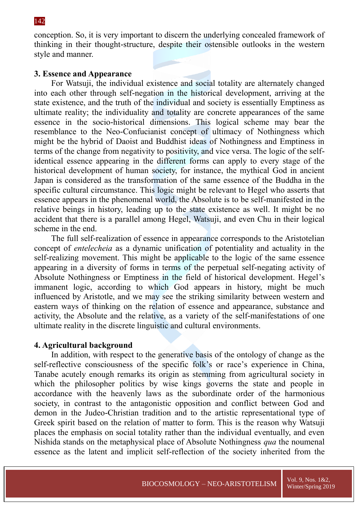conception. So, it is very important to discern the underlying concealed framework of thinking in their thought-structure, despite their ostensible outlooks in the western style and manner.

# **3. Essence and Appearance**

For Watsuji, the individual existence and social totality are alternately changed into each other through self-negation in the historical development, arriving at the state existence, and the truth of the individual and society is essentially Emptiness as ultimate reality; the individuality and totality are concrete appearances of the same essence in the socio-historical dimensions. This logical scheme may bear the resemblance to the Neo-Confucianist concept of ultimacy of Nothingness which might be the hybrid of Daoist and Buddhist ideas of Nothingness and Emptiness in terms of the change from negativity to positivity, and vice versa. The logic of the selfidentical essence appearing in the different forms can apply to every stage of the historical development of human society, for instance, the mythical God in ancient Japan is considered as the transformation of the same essence of the Buddha in the specific cultural circumstance. This logic might be relevant to Hegel who asserts that essence appears in the phenomenal world, the Absolute is to be self-manifested in the relative beings in history, leading up to the state existence as well. It might be no accident that there is a parallel among Hegel, Watsuji, and even Chu in their logical scheme in the end.

The full self-realization of essence in appearance corresponds to the Aristotelian concept of *entelecheia* as a dynamic unification of potentiality and actuality in the self-realizing movement. This might be applicable to the logic of the same essence appearing in a diversity of forms in terms of the perpetual self-negating activity of Absolute Nothingness or Emptiness in the field of historical development. Hegel's immanent logic, according to which God appears in history, might be much influenced by Aristotle, and we may see the striking similarity between western and eastern ways of thinking on the relation of essence and appearance, substance and activity, the Absolute and the relative, as a variety of the self-manifestations of one ultimate reality in the discrete linguistic and cultural environments.

# **4. Agricultural background**

In addition, with respect to the generative basis of the ontology of change as the self-reflective consciousness of the specific folk's or race's experience in China, Tanabe acutely enough remarks its origin as stemming from agricultural society in which the philosopher politics by wise kings governs the state and people in accordance with the heavenly laws as the subordinate order of the harmonious society, in contrast to the antagonistic opposition and conflict between God and demon in the Judeo-Christian tradition and to the artistic representational type of Greek spirit based on the relation of matter to form. This is the reason why Watsuji places the emphasis on social totality rather than the individual eventually, and even Nishida stands on the metaphysical place of Absolute Nothingness *qua* the noumenal essence as the latent and implicit self-reflection of the society inherited from the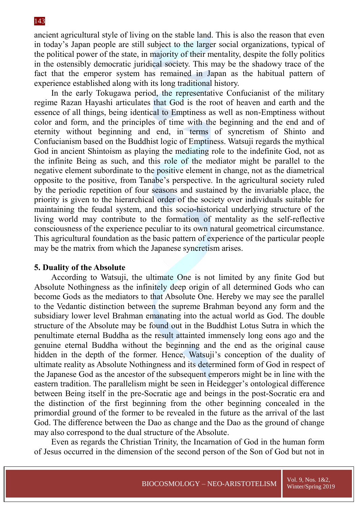ancient agricultural style of living on the stable land. This is also the reason that even in today's Japan people are still subject to the larger social organizations, typical of the political power of the state, in majority of their mentality, despite the folly politics in the ostensibly democratic juridical society. This may be the shadowy trace of the fact that the emperor system has remained in Japan as the habitual pattern of experience established along with its long traditional history.

In the early Tokugawa period, the representative Confucianist of the military regime Razan Hayashi articulates that God is the root of heaven and earth and the essence of all things, being identical to Emptiness as well as non-Emptiness without color and form, and the principles of time with the beginning and the end and of eternity without beginning and end, in terms of syncretism of Shinto and Confucianism based on the Buddhist logic of Emptiness. Watsuji regards the mythical God in ancient Shintoism as playing the mediating role to the indefinite God, not as the infinite Being as such, and this role of the mediator might be parallel to the negative element subordinate to the positive element in change, not as the diametrical opposite to the positive, from Tanabe's perspective. In the agricultural society ruled by the periodic repetition of four seasons and sustained by the invariable place, the priority is given to the hierarchical order of the society over individuals suitable for maintaining the feudal system, and this socio-historical underlying structure of the living world may contribute to the formation of mentality as the self-reflective consciousness of the experience peculiar to its own natural geometrical circumstance. This agricultural foundation as the basic pattern of experience of the particular people may be the matrix from which the Japanese syncretism arises.

# **5. Duality of the Absolute**

According to Watsuji, the ultimate One is not limited by any finite God but Absolute Nothingness as the infinitely deep origin of all determined Gods who can become Gods as the mediators to that Absolute One. Hereby we may see the parallel to the Vedantic distinction between the supreme Brahman beyond any form and the subsidiary lower level Brahman emanating into the actual world as God. The double structure of the Absolute may be found out in the Buddhist Lotus Sutra in which the penultimate eternal Buddha as the result attainted immensely long eons ago and the genuine eternal Buddha without the beginning and the end as the original cause hidden in the depth of the former. Hence, Watsuji's conception of the duality of ultimate reality as Absolute Nothingness and its determined form of God in respect of the Japanese God as the ancestor of the subsequent emperors might be in line with the eastern tradition. The parallelism might be seen in Heidegger's ontological difference between Being itself in the pre-Socratic age and beings in the post-Socratic era and the distinction of the first beginning from the other beginning concealed in the primordial ground of the former to be revealed in the future as the arrival of the last God. The difference between the Dao as change and the Dao as the ground of change may also correspond to the dual structure of the Absolute.

Even as regards the Christian Trinity, the Incarnation of God in the human form of Jesus occurred in the dimension of the second person of the Son of God but not in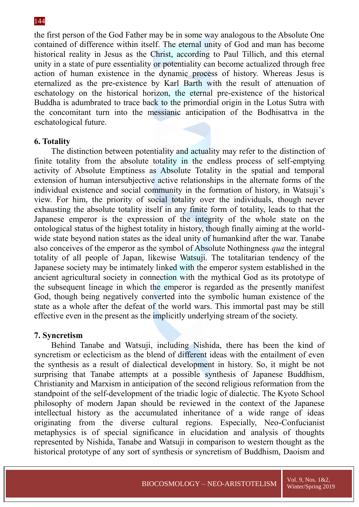the first person of the God Father may be in some way analogous to the Absolute One contained of difference within itself. The eternal unity of God and man has become historical reality in Jesus as the Christ, according to Paul Tillich, and this eternal unity in a state of pure essentiality or potentiality can become actualized through free action of human existence in the dynamic process of history. Whereas Jesus is eternalized as the pre-existence by Karl Barth with the result of attenuation of eschatology on the historical horizon, the eternal pre-existence of the historical Buddha is adumbrated to trace back to the primordial origin in the Lotus Sutra with the concomitant turn into the messianic anticipation of the Bodhisattva in the eschatological future.

#### **6. Totality**

The distinction between potentiality and actuality may refer to the distinction of finite totality from the absolute totality in the endless process of self-emptying activity of Absolute Emptiness as Absolute Totality in the spatial and temporal extension of human intersubjective active relationships in the alternate forms of the individual existence and social community in the formation of history, in Watsuji's view. For him, the priority of social totality over the individuals, though never exhausting the absolute totality itself in any finite form of totality, leads to that the Japanese emperor is the expression of the integrity of the whole state on the ontological status of the highest totality in history, though finally aiming at the worldwide state beyond nation states as the ideal unity of humankind after the war. Tanabe also conceives of the emperor as the symbol of Absolute Nothingness *qua* the integral totality of all people of Japan, likewise Watsuji. The totalitarian tendency of the Japanese society may be intimately linked with the emperor system established in the ancient agricultural society in connection with the mythical God as its prototype of the subsequent lineage in which the emperor is regarded as the presently manifest God, though being negatively converted into the symbolic human existence of the state as a whole after the defeat of the world wars. This immortal past may be still effective even in the present as the implicitly underlying stream of the society.

# **7. Syncretism**

Behind Tanabe and Watsuji, including Nishida, there has been the kind of syncretism or eclecticism as the blend of different ideas with the entailment of even the synthesis as a result of dialectical development in history. So, it might be not surprising that Tanabe attempts at a possible synthesis of Japanese Buddhism, Christianity and Marxism in anticipation of the second religious reformation from the standpoint of the self-development of the triadic logic of dialectic. The Kyoto School philosophy of modern Japan should be reviewed in the context of the Japanese intellectual history as the accumulated inheritance of a wide range of ideas originating from the diverse cultural regions. Especially, Neo-Confucianist metaphysics is of special significance in elucidation and analysis of thoughts represented by Nishida, Tanabe and Watsuji in comparison to western thought as the historical prototype of any sort of synthesis or syncretism of Buddhism, Daoism and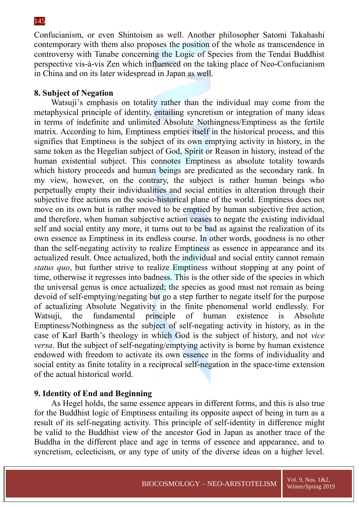Confucianism, or even Shintoism as well. Another philosopher Satomi Takahashi contemporary with them also proposes the position of the whole as transcendence in controversy with Tanabe concerning the Logic of Species from the Tendai Buddhist perspective vis-à-vis Zen which influenced on the taking place of Neo-Confucianism in China and on its later widespread in Japan as well.

# **8. Subject of Negation**

Watsuji's emphasis on totality rather than the individual may come from the metaphysical principle of identity, entailing syncretism or integration of many ideas in terms of indefinite and unlimited Absolute Nothingness/Emptiness as the fertile matrix. According to him, Emptiness empties itself in the historical process, and this signifies that Emptiness is the subject of its own emptying activity in history, in the same token as the Hegelian subject of God, Spirit or Reason in history, instead of the human existential subject. This connotes Emptiness as absolute totality towards which history proceeds and human beings are predicated as the secondary rank. In my view, however, on the contrary, the subject is rather human beings who perpetually empty their individualities and social entities in alteration through their subjective free actions on the socio-historical plane of the world. Emptiness does not move on its own but is rather moved to be emptied by human subjective free action, and therefore, when human subjective action ceases to negate the existing individual self and social entity any more, it turns out to be bad as against the realization of its own essence as Emptiness in its endless course. In other words, goodness is no other than the self-negating activity to realize Emptiness as essence in appearance and its actualized result. Once actualized, both the individual and social entity cannot remain *status quo*, but further strive to realize Emptiness without stopping at any point of time, otherwise it regresses into badness. This is the other side of the species in which the universal genus is once actualized; the species as good must not remain as being devoid of self-emptying/negating but go a step further to negate itself for the purpose of actualizing Absolute Negativity in the finite phenomenal world endlessly. For Watsuji, the fundamental principle of human existence is Absolute Emptiness/Nothingness as the subject of self-negating activity in history, as in the case of Karl Barth's theology in which God is the subject of history, and not *vice versa*. But the subject of self-negating/emptying activity is borne by human existence endowed with freedom to activate its own essence in the forms of individuality and social entity as finite totality in a reciprocal self-negation in the space-time extension of the actual historical world.

# **9. Identity of End and Beginning**

As Hegel holds, the same essence appears in different forms, and this is also true for the Buddhist logic of Emptiness entailing its opposite aspect of being in turn as a result of its self-negating activity. This principle of self-identity in difference might be valid to the Buddhist view of the ancestor God in Japan as another trace of the Buddha in the different place and age in terms of essence and appearance, and to syncretism, eclecticism, or any type of unity of the diverse ideas on a higher level.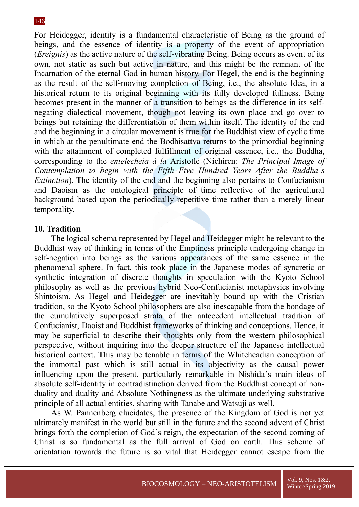For Heidegger, identity is a fundamental characteristic of Being as the ground of beings, and the essence of identity is a property of the event of appropriation (*Ereignis*) as the active nature of the self-vibrating Being. Being occurs as event of its own, not static as such but active in nature, and this might be the remnant of the Incarnation of the eternal God in human history. For Hegel, the end is the beginning as the result of the self-moving completion of Being, i.e., the absolute Idea, in a historical return to its original beginning with its fully developed fullness. Being becomes present in the manner of a transition to beings as the difference in its selfnegating dialectical movement, though not leaving its own place and go over to beings but retaining the differentiation of them within itself. The identity of the end and the beginning in a circular movement is true for the Buddhist view of cyclic time in which at the penultimate end the Bodhisattva returns to the primordial beginning with the attainment of completed fulfillment of original essence, i.e., the Buddha, corresponding to the *entelecheia à la* Aristotle (Nichiren: *The Principal Image of Contemplation to begin with the Fifth Five Hundred Years After the Buddha's Extinction*). The identity of the end and the beginning also pertains to Confucianism and Daoism as the ontological principle of time reflective of the agricultural background based upon the periodically repetitive time rather than a merely linear temporality.

# **10. Tradition**

The logical schema represented by Hegel and Heidegger might be relevant to the Buddhist way of thinking in terms of the Emptiness principle undergoing change in self-negation into beings as the various appearances of the same essence in the phenomenal sphere. In fact, this took place in the Japanese modes of syncretic or synthetic integration of discrete thoughts in speculation with the Kyoto School philosophy as well as the previous hybrid Neo-Confucianist metaphysics involving Shintoism. As Hegel and Heidegger are inevitably bound up with the Cristian tradition, so the Kyoto School philosophers are also inescapable from the bondage of the cumulatively superposed strata of the antecedent intellectual tradition of Confucianist, Daoist and Buddhist frameworks of thinking and conceptions. Hence, it may be superficial to describe their thoughts only from the western philosophical perspective, without inquiring into the deeper structure of the Japanese intellectual historical context. This may be tenable in terms of the Whiteheadian conception of the immortal past which is still actual in its objectivity as the causal power influencing upon the present, particularly remarkable in Nishida's main ideas of absolute self-identity in contradistinction derived from the Buddhist concept of nonduality and duality and Absolute Nothingness as the ultimate underlying substrative principle of all actual entities, sharing with Tanabe and Watsuji as well.

As W. Pannenberg elucidates, the presence of the Kingdom of God is not yet ultimately manifest in the world but still in the future and the second advent of Christ brings forth the completion of God's reign, the expectation of the second coming of Christ is so fundamental as the full arrival of God on earth. This scheme of orientation towards the future is so vital that Heidegger cannot escape from the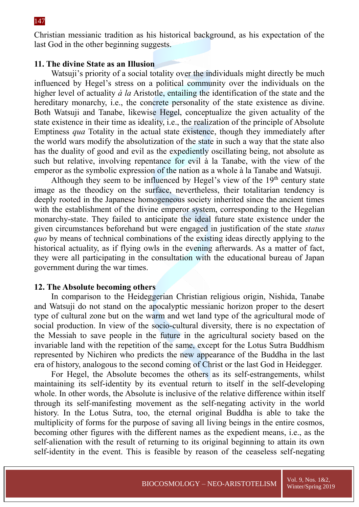Christian messianic tradition as his historical background, as his expectation of the last God in the other beginning suggests.

# **11. The divine State as an Illusion**

Watsuji's priority of a social totality over the individuals might directly be much influenced by Hegel's stress on a political community over the individuals on the higher level of actuality *à la* Aristotle, entailing the identification of the state and the hereditary monarchy, *i.e.*, the concrete personality of the state existence as divine. Both Watsuji and Tanabe, likewise Hegel, conceptualize the given actuality of the state existence in their time as ideality, i.e., the realization of the principle of Absolute Emptiness *qua* Totality in the actual state existence, though they immediately after the world wars modify the absolutization of the state in such a way that the state also has the duality of good and evil as the expediently oscillating being, not absolute as such but relative, involving repentance for evil à la Tanabe, with the view of the emperor as the symbolic expression of the nation as a whole à la Tanabe and Watsuji.

Although they seem to be influenced by Hegel's view of the  $19<sup>th</sup>$  century state image as the theodicy on the surface, nevertheless, their totalitarian tendency is deeply rooted in the Japanese homogeneous society inherited since the ancient times with the establishment of the divine emperor system, corresponding to the Hegelian monarchy-state. They failed to anticipate the ideal future state existence under the given circumstances beforehand but were engaged in justification of the state *status quo* by means of technical combinations of the existing ideas directly applying to the historical actuality, as if flying owls in the evening afterwards. As a matter of fact, they were all participating in the consultation with the educational bureau of Japan government during the war times.

#### **12. The Absolute becoming others**

In comparison to the Heideggerian Christian religious origin, Nishida, Tanabe and Watsuji do not stand on the apocalyptic messianic horizon proper to the desert type of cultural zone but on the warm and wet land type of the agricultural mode of social production. In view of the socio-cultural diversity, there is no expectation of the Messiah to save people in the future in the agricultural society based on the invariable land with the repetition of the same, except for the Lotus Sutra Buddhism represented by Nichiren who predicts the new appearance of the Buddha in the last era of history, analogous to the second coming of Christ or the last God in Heidegger.

For Hegel, the Absolute becomes the others as its self-estrangements, whilst maintaining its self-identity by its eventual return to itself in the self-developing whole. In other words, the Absolute is inclusive of the relative difference within itself through its self-manifesting movement as the self-negating activity in the world history. In the Lotus Sutra, too, the eternal original Buddha is able to take the multiplicity of forms for the purpose of saving all living beings in the entire cosmos, becoming other figures with the different names as the expedient means, i.e., as the self-alienation with the result of returning to its original beginning to attain its own self-identity in the event. This is feasible by reason of the ceaseless self-negating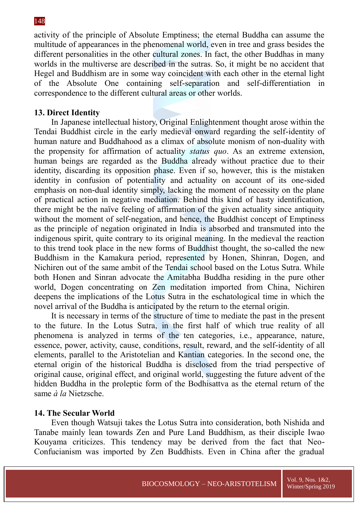activity of the principle of Absolute Emptiness; the eternal Buddha can assume the multitude of appearances in the phenomenal world, even in tree and grass besides the different personalities in the other cultural zones. In fact, the other Buddhas in many worlds in the multiverse are described in the sutras. So, it might be no accident that Hegel and Buddhism are in some way coincident with each other in the eternal light of the Absolute One containing self-separation and self-differentiation in correspondence to the different cultural areas or other worlds.

### **13. Direct Identity**

In Japanese intellectual history, Original Enlightenment thought arose within the Tendai Buddhist circle in the early medieval onward regarding the self-identity of human nature and Buddhahood as a climax of absolute monism of non-duality with the propensity for affirmation of actuality *status quo*. As an extreme extension, human beings are regarded as the Buddha already without practice due to their identity, discarding its opposition phase. Even if so, however, this is the mistaken identity in confusion of potentiality and actuality on account of its one-sided emphasis on non-dual identity simply, lacking the moment of necessity on the plane of practical action in negative mediation. Behind this kind of hasty identification, there might be the naïve feeling of affirmation of the given actuality since antiquity without the moment of self-negation, and hence, the Buddhist concept of Emptiness as the principle of negation originated in India is absorbed and transmuted into the indigenous spirit, quite contrary to its original meaning. In the medieval the reaction to this trend took place in the new forms of Buddhist thought, the so-called the new Buddhism in the Kamakura period, represented by Honen, Shinran, Dogen, and Nichiren out of the same ambit of the Tendai school based on the Lotus Sutra. While both Honen and Sinran advocate the Amitabha Buddha residing in the pure other world, Dogen concentrating on Zen meditation imported from China, Nichiren deepens the implications of the Lotus Sutra in the eschatological time in which the novel arrival of the Buddha is anticipated by the return to the eternal origin.

It is necessary in terms of the structure of time to mediate the past in the present to the future. In the Lotus Sutra, in the first half of which true reality of all phenomena is analyzed in terms of the ten categories, i.e., appearance, nature, essence, power, activity, cause, conditions, result, reward, and the self-identity of all elements, parallel to the Aristotelian and Kantian categories. In the second one, the eternal origin of the historical Buddha is disclosed from the triad perspective of original cause, original effect, and original world, suggesting the future advent of the hidden Buddha in the proleptic form of the Bodhisattva as the eternal return of the same *à la* Nietzsche.

### **14. The Secular World**

Even though Watsuji takes the Lotus Sutra into consideration, both Nishida and Tanabe mainly lean towards Zen and Pure Land Buddhism, as their disciple Iwao Kouyama criticizes. This tendency may be derived from the fact that Neo-Confucianism was imported by Zen Buddhists. Even in China after the gradual

#### 148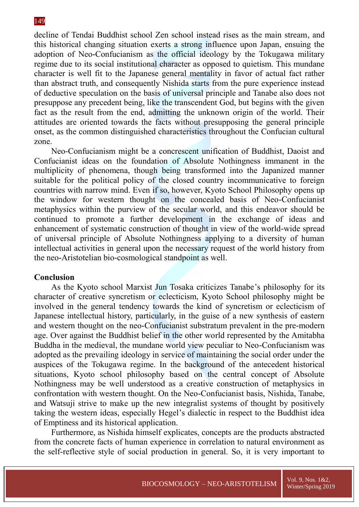decline of Tendai Buddhist school Zen school instead rises as the main stream, and this historical changing situation exerts a strong influence upon Japan, ensuing the adoption of Neo-Confucianism as the official ideology by the Tokugawa military regime due to its social institutional character as opposed to quietism. This mundane character is well fit to the Japanese general mentality in favor of actual fact rather than abstract truth, and consequently Nishida starts from the pure experience instead of deductive speculation on the basis of universal principle and Tanabe also does not presuppose any precedent being, like the transcendent God, but begins with the given fact as the result from the end, admitting the unknown origin of the world. Their attitudes are oriented towards the facts without presupposing the general principle onset, as the common distinguished characteristics throughout the Confucian cultural zone.

Neo-Confucianism might be a concrescent unification of Buddhist, Daoist and Confucianist ideas on the foundation of Absolute Nothingness immanent in the multiplicity of phenomena, though being transformed into the Japanized manner suitable for the political policy of the closed country incommunicative to foreign countries with narrow mind. Even if so, however, Kyoto School Philosophy opens up the window for western thought on the concealed basis of Neo-Confucianist metaphysics within the purview of the secular world, and this endeavor should be continued to promote a further development in the exchange of ideas and enhancement of systematic construction of thought in view of the world-wide spread of universal principle of Absolute Nothingness applying to a diversity of human intellectual activities in general upon the necessary request of the world history from the neo-Aristotelian bio-cosmological standpoint as well.

# **Conclusion**

As the Kyoto school Marxist Jun Tosaka criticizes Tanabe's philosophy for its character of creative syncretism or eclecticism, Kyoto School philosophy might be involved in the general tendency towards the kind of syncretism or eclecticism of Japanese intellectual history, particularly, in the guise of a new synthesis of eastern and western thought on the neo-Confucianist substratum prevalent in the pre-modern age. Over against the Buddhist belief in the other world represented by the Amitabha Buddha in the medieval, the mundane world view peculiar to Neo-Confucianism was adopted as the prevailing ideology in service of maintaining the social order under the auspices of the Tokugawa regime. In the background of the antecedent historical situations, Kyoto school philosophy based on the central concept of Absolute Nothingness may be well understood as a creative construction of metaphysics in confrontation with western thought. On the Neo-Confucianist basis, Nishida, Tanabe, and Watsuji strive to make up the new integralist systems of thought by positively taking the western ideas, especially Hegel's dialectic in respect to the Buddhist idea of Emptiness and its historical application.

Furthermore, as Nishida himself explicates, concepts are the products abstracted from the concrete facts of human experience in correlation to natural environment as the self-reflective style of social production in general. So, it is very important to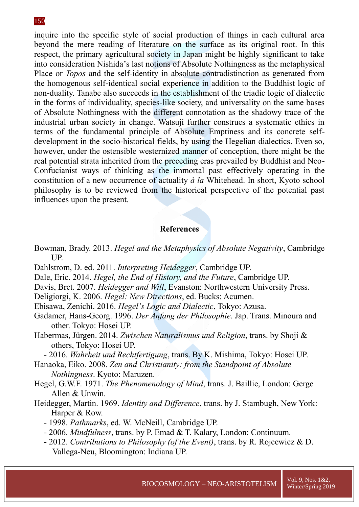inquire into the specific style of social production of things in each cultural area beyond the mere reading of literature on the surface as its original root. In this respect, the primary agricultural society in Japan might be highly significant to take into consideration Nishida's last notions of Absolute Nothingness as the metaphysical Place or *Topos* and the self-identity in absolute contradistinction as generated from the homogenous self-identical social experience in addition to the Buddhist logic of non-duality. Tanabe also succeeds in the establishment of the triadic logic of dialectic in the forms of individuality, species-like society, and universality on the same bases of Absolute Nothingness with the different connotation as the shadowy trace of the industrial urban society in change. Watsuji further construes a systematic ethics in terms of the fundamental principle of Absolute Emptiness and its concrete selfdevelopment in the socio-historical fields, by using the Hegelian dialectics. Even so, however, under the ostensible westernized manner of conception, there might be the real potential strata inherited from the preceding eras prevailed by Buddhist and Neo-Confucianist ways of thinking as the immortal past effectively operating in the constitution of a new occurrence of actuality *à la* Whitehead. In short, Kyoto school philosophy is to be reviewed from the historical perspective of the potential past influences upon the present.

# **References**

- Bowman, Brady. 2013. *Hegel and the Metaphysics of Absolute Negativity*, Cambridge UP.
- Dahlstrom, D. ed. 2011. *Interpreting Heidegger*, Cambridge UP.
- Dale, Eric. 2014. *Hegel, the End of History, and the Future*, Cambridge UP.
- Davis, Bret. 2007. *Heidegger and Will*, Evanston: Northwestern University Press.
- Deligiorgi, K. 2006. *Hegel: New Directions*, ed. Bucks: Acumen.
- Ebisawa, Zenichi. 2016. *Hegel's Logic and Dialectic*, Tokyo: Azusa.
- Gadamer, Hans-Georg. 1996. *Der Anfang der Philosophie*. Jap. Trans. Minoura and other. Tokyo: Hosei UP.
- Habermas, Jürgen. 2014. *Zwischen Naturalismus und Religion*, trans. by Shoji & others, Tokyo: Hosei UP.

- 2016. *Wahrheit und Rechtfertigung*, trans. By K. Mishima, Tokyo: Hosei UP.

- Hanaoka, Eiko. 2008. *Zen and Christianity: from the Standpoint of Absolute Nothingness*. Kyoto: Maruzen.
- Hegel, G.W.F. 1971. *The Phenomenology of Mind*, trans. J. Baillie, London: Gerge Allen & Unwin.
- Heidegger, Martin. 1969. *Identity and Difference*, trans. by J. Stambugh, New York: Harper & Row.
	- 1998. *Pathmarks*, ed. W. McNeill, Cambridge UP.
	- 2006. *Mindfulness*, trans. by P. Emad & T. Kalary, London: Continuum.
	- 2012. *Contributions to Philosophy (of the Event)*, trans. by R. Rojcewicz & D. Vallega-Neu, Bloomington: Indiana UP.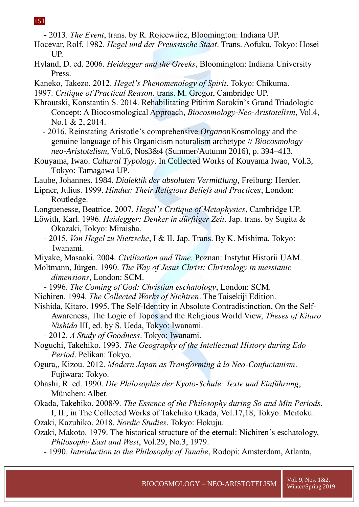- 2013. *The Event*, trans. by R. Rojcewiicz, Bloomington: Indiana UP.

- Hocevar, Rolf. 1982. *Hegel und der Preussische Staat*. Trans. Aofuku, Tokyo: Hosei UP.
- Hyland, D. ed. 2006. *Heidegger and the Greeks*, Bloomington: Indiana University Press.
- Kaneko, Takezo. 2012. *Hegel's Phenomenology of Spirit*. Tokyo: Chikuma. 1997. *Critique of Practical Reason*. trans. M. Gregor, Cambridge UP.
- Khroutski, Konstantin S. 2014. Rehabilitating Pitirim Sorokin's Grand Triadologic Concept: A Biocosmological Approach, *Biocosmology-Neo-Aristotelism*, Vol.4, No.1 & 2, 2014.
	- 2016. Reinstating Aristotle's comprehensive *Organon*Kosmology and the genuine language of his Organicism naturalism archetype // *Biocosmology – neo-Aristotelism*, Vol.6, Nos3&4 (Summer/Autumn 2016), p. 394–413.
- Kouyama, Iwao. *Cultural Typology*. In Collected Works of Kouyama Iwao, Vol.3, Tokyo: Tamagawa UP.
- Laube, Johannes. 1984. *Dialektik der absoluten Vermittlung*, Freiburg: Herder.
- Lipner, Julius. 1999. *Hindus: Their Religious Beliefs and Practices*, London: Routledge.
- Longuenesse, Beatrice. 2007. *Hegel's Critique of Metaphysics*, Cambridge UP.
- Löwith, Karl. 1996. *Heidegger: Denker in dürftiger Zeit*. Jap. trans. by Sugita & Okazaki, Tokyo: Miraisha.
	- 2015. *Von Hegel zu Nietzsche*, I & II. Jap. Trans. By K. Mishima, Tokyo: Iwanami.
- Miyake, Masaaki. 2004. *Civilization and Time*. Poznan: Instytut Historii UAM.
- Moltmann, Jürgen. 1990. *The Way of Jesus Christ: Christology in messianic dimensions*, London: SCM.
	- 1996. *The Coming of God: Christian eschatology*, London: SCM.
- Nichiren. 1994. *The Collected Works of Nichiren*. The Taisekiji Edition.
- Nishida, Kitaro. 1995. The Self-Identity in Absolute Contradistinction, On the Self-Awareness, The Logic of Topos and the Religious World View, *Theses of Kitaro Nishida* III, ed. by S. Ueda, Tokyo: Iwanami.
	- 2012. *A Study of Goodness*. Tokyo: Iwanami.
- Noguchi, Takehiko. 1993. *The Geography of the Intellectual History during Edo Period*. Pelikan: Tokyo.
- Ogura,, Kizou. 2012. *Modern Japan as Transforming à la Neo-Confucianism*. Fujiwara: Tokyo.
- Ohashi, R. ed. 1990. *Die Philosophie der Kyoto-Schule: Texte und Einführung*, München: Alber.
- Okada, Takehiko. 2008/9. *The Essence of the Philosophy during So and Min Periods*, I, II., in The Collected Works of Takehiko Okada, Vol.17,18, Tokyo: Meitoku.
- Ozaki, Kazuhiko. 2018. *Nordic Studies*. Tokyo: Hokuju.
- Ozaki, Makoto. 1979. The historical structure of the eternal: Nichiren's eschatology, *Philosophy East and West*, Vol.29, No.3, 1979.
	- 1990. *Introduction to the Philosophy of Tanabe*, Rodopi: Amsterdam, Atlanta,